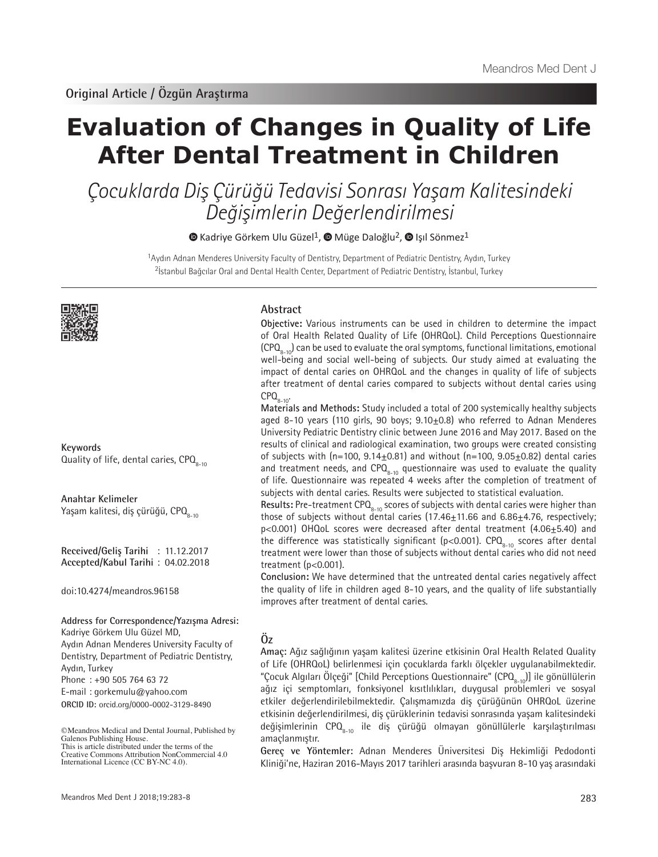# **Evaluation of Changes in Quality of Life After Dental Treatment in Children**

Çocuklarda Diş Çürüğü Tedavisi Sonrası Yaşam Kalitesindeki Değişimlerin Değerlendirilmesi

 $\bullet$ Kadriye Görkem Ulu Güzel<sup>1</sup>,  $\bullet$  Müge Daloğlu<sup>2</sup>,  $\bullet$  Işıl Sönmez<sup>1</sup>

<sup>1</sup>Aydın Adnan Menderes University Faculty of Dentistry, Department of Pediatric Dentistry, Aydın, Turkey <sup>2</sup>İstanbul Bağcılar Oral and Dental Health Center, Department of Pediatric Dentistry, İstanbul, Turkey



**Keywords** Quality of life, dental caries,  $\text{CPQ}_{8-10}$ 

**Anahtar Kelimeler** Yaşam kalitesi, diş çürüğü, CPO<sub>8-10</sub>

**Received/Geliş Tarihi** : 11.12.2017 **Accepted/Kabul Tarihi** : 04.02.2018

doi:10.4274/meandros.96158

**Address for Correspondence/Yazışma Adresi:**

Kadriye Görkem Ulu Güzel MD, Aydın Adnan Menderes University Faculty of Dentistry, Department of Pediatric Dentistry, Aydın, Turkey Phone : +90 505 764 63 72 E-mail : gorkemulu@yahoo.com

**ORCID ID:** orcid.org/0000-0002-3129-8490

# **Abstract**

**Objective:** Various instruments can be used in children to determine the impact of Oral Health Related Quality of Life (OHRQoL). Child Perceptions Questionnaire  $(CPO<sub>s-10</sub>)$  can be used to evaluate the oral symptoms, functional limitations, emotional well-being and social well-being of subjects. Our study aimed at evaluating the impact of dental caries on OHRQoL and the changes in quality of life of subjects after treatment of dental caries compared to subjects without dental caries using  $CPO_{8-10}$ 

**Materials and Methods:** Study included a total of 200 systemically healthy subjects aged 8-10 years (110 girls, 90 boys; 9.10+0.8) who referred to Adnan Menderes University Pediatric Dentistry clinic between June 2016 and May 2017. Based on the results of clinical and radiological examination, two groups were created consisting of subjects with  $(n=100, 9.14 \pm 0.81)$  and without  $(n=100, 9.05 \pm 0.82)$  dental caries and treatment needs, and  $\text{CPQ}_{8-10}$  questionnaire was used to evaluate the quality of life. Questionnaire was repeated 4 weeks after the completion of treatment of subjects with dental caries. Results were subjected to statistical evaluation.

Results: Pre-treatment CPQ<sub>8-10</sub> scores of subjects with dental caries were higher than those of subjects without dental caries  $(17.46 \pm 11.66$  and  $6.86 \pm 4.76$ , respectively; p<0.001) OHQoL scores were decreased after dental treatment (4.06±5.40) and the difference was statistically significant (p<0.001). CPQ $_{8-10}$  scores after dental treatment were lower than those of subjects without dental caries who did not need treatment (p<0.001).

**Conclusion:** We have determined that the untreated dental caries negatively affect the quality of life in children aged 8-10 years, and the quality of life substantially improves after treatment of dental caries.

# **Öz**

**Amaç:** Ağız sağlığının yaşam kalitesi üzerine etkisinin Oral Health Related Quality of Life (OHRQoL) belirlenmesi için çocuklarda farklı ölçekler uygulanabilmektedir. "Çocuk Algıları Ölçeği" [Child Perceptions Questionnaire" (CPQ $_{\rm s.o.10}$ ] ile gönüllülerin ağız içi semptomları, fonksiyonel kısıtlılıkları, duygusal problemleri ve sosyal etkiler değerlendirilebilmektedir. Çalışmamızda diş çürüğünün OHRQoL üzerine etkisinin değerlendirilmesi, diş çürüklerinin tedavisi sonrasında yaşam kalitesindeki değişimlerinin CPQ $_{8-10}$  ile diş çürüğü olmayan gönüllülerle karşılaştırılması amaçlanmıştır.

**Gereç ve Yöntemler:** Adnan Menderes Üniversitesi Diş Hekimliği Pedodonti Kliniği'ne, Haziran 2016-Mayıs 2017 tarihleri arasında başvuran 8-10 yaş arasındaki

<sup>©</sup>Meandros Medical and Dental Journal, Published by Galenos Publishing House. This is article distributed under the terms of the

Creative Commons Attribution NonCommercial 4.0 International Licence (CC BY-NC 4.0).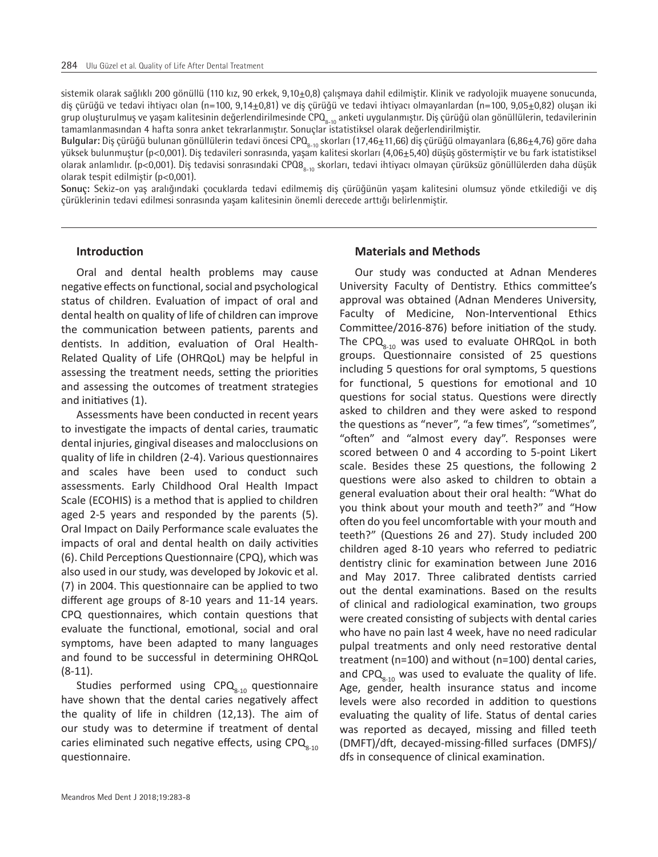sistemik olarak sağlıklı 200 gönüllü (110 kız, 90 erkek, 9,10+0,8) çalışmaya dahil edilmiştir. Klinik ve radyolojik muayene sonucunda, diş çürüğü ve tedavi ihtiyacı olan (n=100, 9,14±0,81) ve diş çürüğü ve tedavi ihtiyacı olmayanlardan (n=100, 9,05±0,82) oluşan iki grup oluşturulmuş ve yaşam kalitesinin değerlendirilmesinde CPQ<sub>8-10</sub> anketi uygulanmıştır. Diş çürüğü olan gönüllülerin, tedavilerinin tamamlanmasından 4 hafta sonra anket tekrarlanmıştır. Sonuçlar istatistiksel olarak değerlendirilmiştir.

**Bulgular:** Diş çürüğü bulunan gönüllülerin tedavi öncesi CPQ<sub>8-10</sub> skorları (17,46±11,66) diş çürüğü olmayanlara (6,86±4,76) göre daha yüksek bulunmuştur (p<0,001). Diş tedavileri sonrasında, yaşam kalitesi skorları (4,06±5,40) düşüş göstermiştir ve bu fark istatistiksel olarak anlamlıdır. (p<0,001). Diş tedavisi sonrasındaki CPQ8<sub>8-10</sub> skorları, tedavi ihtiyacı olmayan çürüksüz gönüllülerden daha düşük olarak tespit edilmiştir (p<0,001).

**Sonuç:** Sekiz-on yaş aralığındaki çocuklarda tedavi edilmemiş diş çürüğünün yaşam kalitesini olumsuz yönde etkilediği ve diş çürüklerinin tedavi edilmesi sonrasında yaşam kalitesinin önemli derecede arttığı belirlenmiştir.

## **Introduction**

Oral and dental health problems may cause negative effects on functional, social and psychological status of children. Evaluation of impact of oral and dental health on quality of life of children can improve the communication between patients, parents and dentists. In addition, evaluation of Oral Health-Related Quality of Life (OHRQoL) may be helpful in assessing the treatment needs, setting the priorities and assessing the outcomes of treatment strategies and initiatives (1).

Assessments have been conducted in recent years to investigate the impacts of dental caries, traumatic dental injuries, gingival diseases and malocclusions on quality of life in children (2-4). Various questionnaires and scales have been used to conduct such assessments. Early Childhood Oral Health Impact Scale (ECOHIS) is a method that is applied to children aged 2-5 years and responded by the parents (5). Oral Impact on Daily Performance scale evaluates the impacts of oral and dental health on daily activities (6). Child Perceptions Questionnaire (CPQ), which was also used in our study, was developed by Jokovic et al. (7) in 2004. This questionnaire can be applied to two different age groups of 8-10 years and 11-14 years. CPQ questionnaires, which contain questions that evaluate the functional, emotional, social and oral symptoms, have been adapted to many languages and found to be successful in determining OHRQoL (8-11).

Studies performed using  $CPO_{8-10}$  questionnaire have shown that the dental caries negatively affect the quality of life in children (12,13). The aim of our study was to determine if treatment of dental caries eliminated such negative effects, using  $CPO<sub>s-10</sub>$ questionnaire.

## **Materials and Methods**

Our study was conducted at Adnan Menderes University Faculty of Dentistry. Ethics committee's approval was obtained (Adnan Menderes University, Faculty of Medicine, Non-Interventional Ethics Committee/2016-876) before initiation of the study. The CPQ $_{8-10}$  was used to evaluate OHRQoL in both groups. Questionnaire consisted of 25 questions including 5 questions for oral symptoms, 5 questions for functional, 5 questions for emotional and 10 questions for social status. Questions were directly asked to children and they were asked to respond the questions as "never", "a few times", "sometimes", "often" and "almost every day". Responses were scored between 0 and 4 according to 5-point Likert scale. Besides these 25 questions, the following 2 questions were also asked to children to obtain a general evaluation about their oral health: "What do you think about your mouth and teeth?" and "How often do you feel uncomfortable with your mouth and teeth?" (Questions 26 and 27). Study included 200 children aged 8-10 years who referred to pediatric dentistry clinic for examination between June 2016 and May 2017. Three calibrated dentists carried out the dental examinations. Based on the results of clinical and radiological examination, two groups were created consisting of subjects with dental caries who have no pain last 4 week, have no need radicular pulpal treatments and only need restorative dental treatment (n=100) and without (n=100) dental caries, and CPQ $_{8-10}$  was used to evaluate the quality of life. Age, gender, health insurance status and income levels were also recorded in addition to questions evaluating the quality of life. Status of dental caries was reported as decayed, missing and filled teeth (DMFT)/dft, decayed-missing-filled surfaces (DMFS)/ dfs in consequence of clinical examination.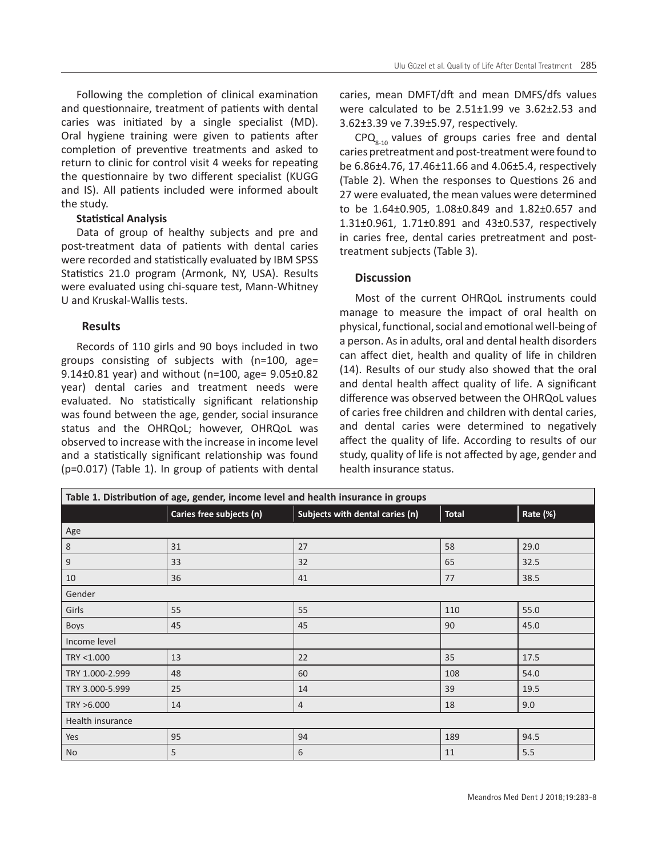Following the completion of clinical examination and questionnaire, treatment of patients with dental caries was initiated by a single specialist (MD). Oral hygiene training were given to patients after completion of preventive treatments and asked to return to clinic for control visit 4 weeks for repeating the questionnaire by two different specialist (KUGG and IS). All patients included were informed aboult the study.

# **Statistical Analysis**

Data of group of healthy subjects and pre and post-treatment data of patients with dental caries were recorded and statistically evaluated by IBM SPSS Statistics 21.0 program (Armonk, NY, USA). Results were evaluated using chi-square test, Mann-Whitney U and Kruskal-Wallis tests.

# **Results**

Records of 110 girls and 90 boys included in two groups consisting of subjects with (n=100, age= 9.14±0.81 year) and without (n=100, age= 9.05±0.82 year) dental caries and treatment needs were evaluated. No statistically significant relationship was found between the age, gender, social insurance status and the OHRQoL; however, OHRQoL was observed to increase with the increase in income level and a statistically significant relationship was found (p=0.017) (Table 1). In group of patients with dental caries, mean DMFT/dft and mean DMFS/dfs values were calculated to be 2.51±1.99 ve 3.62±2.53 and 3.62±3.39 ve 7.39±5.97, respectively.

 $CPQ_{8-10}$  values of groups caries free and dental caries pretreatment and post-treatment were found to be 6.86±4.76, 17.46±11.66 and 4.06±5.4, respectively (Table 2). When the responses to Questions 26 and 27 were evaluated, the mean values were determined to be 1.64±0.905, 1.08±0.849 and 1.82±0.657 and 1.31±0.961, 1.71±0.891 and 43±0.537, respectively in caries free, dental caries pretreatment and posttreatment subjects (Table 3).

# **Discussion**

Most of the current OHRQoL instruments could manage to measure the impact of oral health on physical, functional, social and emotional well-being of a person. As in adults, oral and dental health disorders can affect diet, health and quality of life in children (14). Results of our study also showed that the oral and dental health affect quality of life. A significant difference was observed between the OHRQoL values of caries free children and children with dental caries, and dental caries were determined to negatively affect the quality of life. According to results of our study, quality of life is not affected by age, gender and health insurance status.

| Table 1. Distribution of age, gender, income level and health insurance in groups |                          |                                 |              |          |  |  |  |
|-----------------------------------------------------------------------------------|--------------------------|---------------------------------|--------------|----------|--|--|--|
|                                                                                   | Caries free subjects (n) | Subjects with dental caries (n) | <b>Total</b> | Rate (%) |  |  |  |
| Age                                                                               |                          |                                 |              |          |  |  |  |
| $\,8\,$                                                                           | 31                       | 27                              | 58           | 29.0     |  |  |  |
| $9\,$                                                                             | 33                       | 32                              | 65           | 32.5     |  |  |  |
| 10                                                                                | 36                       | 41                              | 77           | 38.5     |  |  |  |
| Gender                                                                            |                          |                                 |              |          |  |  |  |
| Girls                                                                             | 55                       | 55                              | 110          | 55.0     |  |  |  |
| <b>Boys</b>                                                                       | 45                       | 45                              | 90           | 45.0     |  |  |  |
| Income level                                                                      |                          |                                 |              |          |  |  |  |
| TRY <1.000                                                                        | 13                       | 22                              | 35           | 17.5     |  |  |  |
| TRY 1.000-2.999                                                                   | 48                       | 60                              | 108          | 54.0     |  |  |  |
| TRY 3.000-5.999                                                                   | 25                       | 14                              | 39           | 19.5     |  |  |  |
| TRY >6.000                                                                        | 14                       | $\overline{4}$                  | 18           | 9.0      |  |  |  |
| Health insurance                                                                  |                          |                                 |              |          |  |  |  |
| Yes                                                                               | 95                       | 94                              | 189          | 94.5     |  |  |  |
| <b>No</b>                                                                         | 5                        | 6                               | 11           | 5.5      |  |  |  |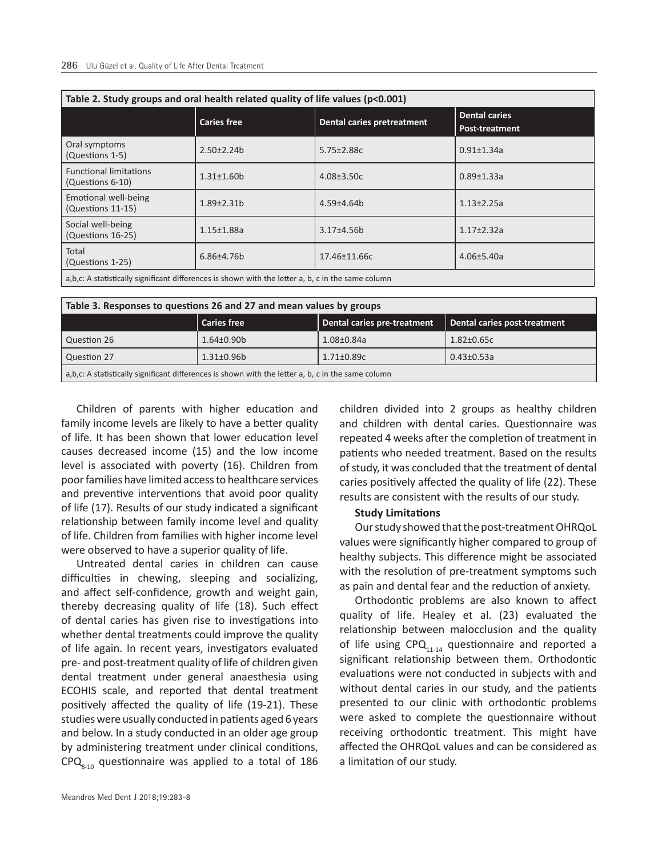| Table 2. Study groups and oral health related quality of life values (p<0.001)                       |                    |                            |                                        |  |  |  |
|------------------------------------------------------------------------------------------------------|--------------------|----------------------------|----------------------------------------|--|--|--|
|                                                                                                      | <b>Caries free</b> | Dental caries pretreatment | <b>Dental caries</b><br>Post-treatment |  |  |  |
| Oral symptoms<br>(Questions 1-5)                                                                     | $2.50 \pm 2.24 b$  | 5.75±2.88c                 | $0.91 \pm 1.34$ a                      |  |  |  |
| <b>Functional limitations</b><br>(Questions 6-10)                                                    | $1.31 \pm 1.60$    | $4.08 + 3.50c$             | $0.89 \pm 1.33a$                       |  |  |  |
| Emotional well-being<br>(Questions 11-15)                                                            | $1.89 \pm 2.31 b$  | $4.59 + 4.64$              | $1.13 \pm 2.25a$                       |  |  |  |
| Social well-being<br>(Questions 16-25)                                                               | $1.15 \pm 1.88$ a  | 3.17±4.56b                 | $1.17 + 2.32a$                         |  |  |  |
| Total<br>(Questions 1-25)                                                                            | $6.86{\pm}4.76b$   | 17.46±11.66c               | $4.06 \pm 5.40a$                       |  |  |  |
| a, b, c: A statistically significant differences is shown with the letter a, b, c in the same column |                    |                            |                                        |  |  |  |

a,b,c: A statistically significant differences is shown with the letter a, b, c in the same column

| Table 3. Responses to questions 26 and 27 and mean values by groups                                |                    |                             |                              |  |  |  |
|----------------------------------------------------------------------------------------------------|--------------------|-----------------------------|------------------------------|--|--|--|
|                                                                                                    | <b>Caries free</b> | Dental caries pre-treatment | Dental caries post-treatment |  |  |  |
| Question 26                                                                                        | $1.64 \pm 0.90$    | $1.08 \pm 0.84$ a           | $1.82 \pm 0.65c$             |  |  |  |
| Question 27                                                                                        | $1.31 \pm 0.96 b$  | $1.71 \pm 0.89c$            | $0.43 \pm 0.53a$             |  |  |  |
| a,b,c: A statistically significant differences is shown with the letter a, b, c in the same column |                    |                             |                              |  |  |  |

Children of parents with higher education and family income levels are likely to have a better quality of life. It has been shown that lower education level causes decreased income (15) and the low income level is associated with poverty (16). Children from poor families have limited access to healthcare services and preventive interventions that avoid poor quality of life (17). Results of our study indicated a significant relationship between family income level and quality of life. Children from families with higher income level were observed to have a superior quality of life.

Untreated dental caries in children can cause difficulties in chewing, sleeping and socializing, and affect self-confidence, growth and weight gain, thereby decreasing quality of life (18). Such effect of dental caries has given rise to investigations into whether dental treatments could improve the quality of life again. In recent years, investigators evaluated pre- and post-treatment quality of life of children given dental treatment under general anaesthesia using ECOHIS scale, and reported that dental treatment positively affected the quality of life (19-21). These studies were usually conducted in patients aged 6 years and below. In a study conducted in an older age group by administering treatment under clinical conditions,  $CPQ<sub>8-10</sub>$  questionnaire was applied to a total of 186

children divided into 2 groups as healthy children and children with dental caries. Questionnaire was repeated 4 weeks after the completion of treatment in patients who needed treatment. Based on the results of study, it was concluded that the treatment of dental caries positively affected the quality of life (22). These results are consistent with the results of our study.

#### **Study Limitations**

Our study showed that the post-treatment OHRQoL values were significantly higher compared to group of healthy subjects. This difference might be associated with the resolution of pre-treatment symptoms such as pain and dental fear and the reduction of anxiety.

Orthodontic problems are also known to affect quality of life. Healey et al. (23) evaluated the relationship between malocclusion and the quality of life using  $CPO_{11-14}$  questionnaire and reported a significant relationship between them. Orthodontic evaluations were not conducted in subjects with and without dental caries in our study, and the patients presented to our clinic with orthodontic problems were asked to complete the questionnaire without receiving orthodontic treatment. This might have affected the OHRQoL values and can be considered as a limitation of our study.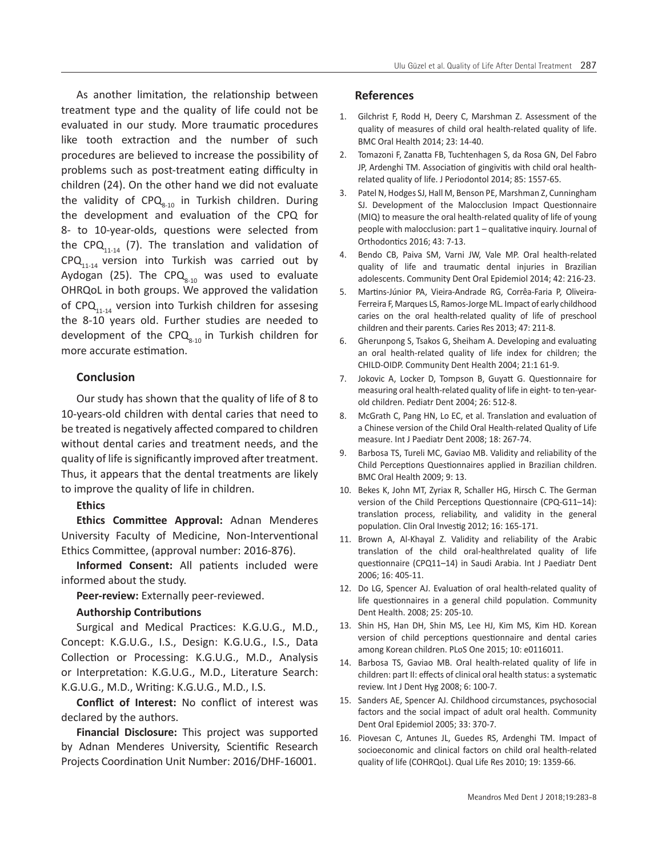As another limitation, the relationship between treatment type and the quality of life could not be evaluated in our study. More traumatic procedures like tooth extraction and the number of such procedures are believed to increase the possibility of problems such as post-treatment eating difficulty in children (24). On the other hand we did not evaluate the validity of CPQ<sub>8-10</sub> in Turkish children. During the development and evaluation of the CPQ for 8- to 10-year-olds, questions were selected from the CPQ $_{11-14}$  (7). The translation and validation of  $CPQ_{11-14}$  version into Turkish was carried out by Aydogan (25). The CPQ $_{8-10}$  was used to evaluate OHRQoL in both groups. We approved the validation of CPQ $_{11-14}$  version into Turkish children for assesing the 8-10 years old. Further studies are needed to development of the CPQ $_{8-10}$  in Turkish children for more accurate estimation.

# **Conclusion**

Our study has shown that the quality of life of 8 to 10-years-old children with dental caries that need to be treated is negatively affected compared to children without dental caries and treatment needs, and the quality of life is significantly improved after treatment. Thus, it appears that the dental treatments are likely to improve the quality of life in children.

## **Ethics**

**Ethics Committee Approval:** Adnan Menderes University Faculty of Medicine, Non-Interventional Ethics Committee, (approval number: 2016-876).

**Informed Consent:** All patients included were informed about the study.

**Peer-review:** Externally peer-reviewed.

## **Authorship Contributions**

Surgical and Medical Practices: K.G.U.G., M.D., Concept: K.G.U.G., I.S., Design: K.G.U.G., I.S., Data Collection or Processing: K.G.U.G., M.D., Analysis or Interpretation: K.G.U.G., M.D., Literature Search: K.G.U.G., M.D., Writing: K.G.U.G., M.D., I.S.

**Conflict of Interest:** No conflict of interest was declared by the authors.

**Financial Disclosure:** This project was supported by Adnan Menderes University, Scientific Research Projects Coordination Unit Number: 2016/DHF-16001.

## **References**

- 1. Gilchrist F, Rodd H, Deery C, Marshman Z. Assessment of the quality of measures of child oral health-related quality of life. BMC Oral Health 2014; 23: 14-40.
- 2. Tomazoni F, Zanatta FB, Tuchtenhagen S, da Rosa GN, Del Fabro JP, Ardenghi TM. Association of gingivitis with child oral healthrelated quality of life. J Periodontol 2014; 85: 1557-65.
- 3. Patel N, Hodges SJ, Hall M, Benson PE, Marshman Z, Cunningham SJ. Development of the Malocclusion Impact Questionnaire (MIQ) to measure the oral health-related quality of life of young people with malocclusion: part 1 – qualitative inquiry. Journal of Orthodontics 2016; 43: 7-13.
- 4. Bendo CB, Paiva SM, Varni JW, Vale MP. Oral health-related quality of life and traumatic dental injuries in Brazilian adolescents. Community Dent Oral Epidemiol 2014; 42: 216-23.
- 5. Martins-Júnior PA, Vieira-Andrade RG, Corrêa-Faria P, Oliveira-Ferreira F, Marques LS, Ramos-Jorge ML. Impact of early childhood caries on the oral health-related quality of life of preschool children and their parents. Caries Res 2013; 47: 211-8.
- 6. Gherunpong S, Tsakos G, Sheiham A. Developing and evaluating an oral health-related quality of life index for children; the CHILD-OIDP. Community Dent Health 2004; 21:1 61-9.
- 7. Jokovic A, Locker D, Tompson B, Guyatt G. Questionnaire for measuring oral health-related quality of life in eight- to ten-yearold children. Pediatr Dent 2004; 26: 512-8.
- 8. McGrath C, Pang HN, Lo EC, et al. Translation and evaluation of a Chinese version of the Child Oral Health-related Quality of Life measure. Int J Paediatr Dent 2008; 18: 267-74.
- 9. Barbosa TS, Tureli MC, Gaviao MB. Validity and reliability of the Child Perceptions Questionnaires applied in Brazilian children. BMC Oral Health 2009; 9: 13.
- 10. Bekes K, John MT, Zyriax R, Schaller HG, Hirsch C. The German version of the Child Perceptions Questionnaire (CPQ-G11–14): translation process, reliability, and validity in the general population. Clin Oral Investig 2012; 16: 165-171.
- 11. Brown A, Al-Khayal Z. Validity and reliability of the Arabic translation of the child oral-healthrelated quality of life questionnaire (CPQ11–14) in Saudi Arabia. Int J Paediatr Dent 2006; 16: 405-11.
- 12. Do LG, Spencer AJ. Evaluation of oral health-related quality of life questionnaires in a general child population. Community Dent Health. 2008; 25: 205-10.
- 13. Shin HS, Han DH, Shin MS, Lee HJ, Kim MS, Kim HD. Korean version of child perceptions questionnaire and dental caries among Korean children. PLoS One 2015; 10: e0116011.
- 14. Barbosa TS, Gaviao MB. Oral health-related quality of life in children: part II: effects of clinical oral health status: a systematic review. Int J Dent Hyg 2008; 6: 100-7.
- 15. Sanders AE, Spencer AJ. Childhood circumstances, psychosocial factors and the social impact of adult oral health. Community Dent Oral Epidemiol 2005; 33: 370-7.
- 16. Piovesan C, Antunes JL, Guedes RS, Ardenghi TM. Impact of socioeconomic and clinical factors on child oral health-related quality of life (COHRQoL). Qual Life Res 2010; 19: 1359-66.